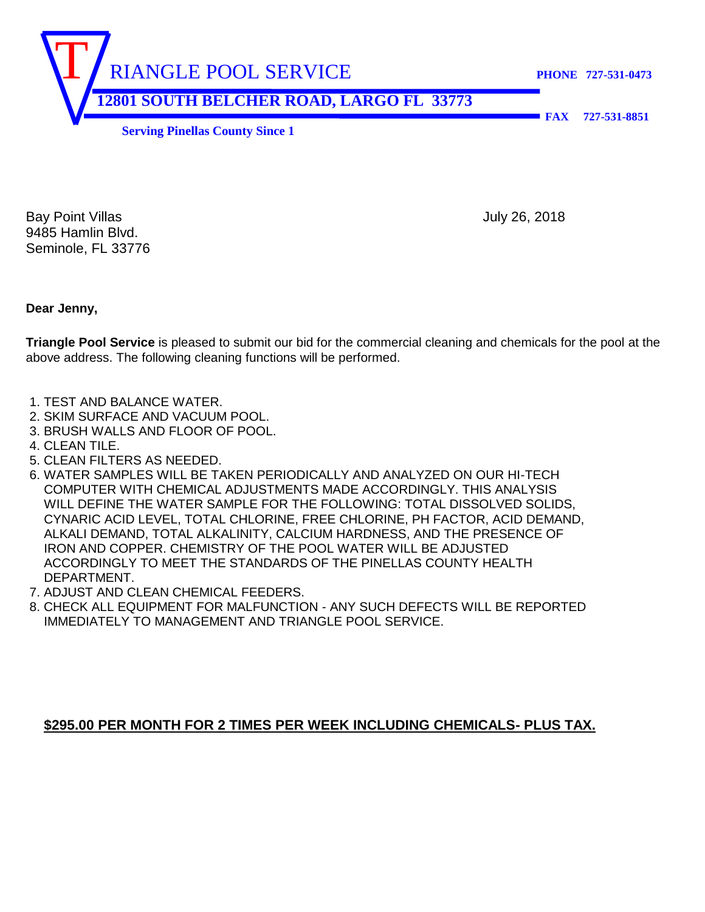RIANGLE POOL SERVICE **PHONE 727-531-0473 12801 SOUTH BELCHER ROAD, LARGO FL 33773** 

 **FAX 727-531-8851** 

**Serving Pinellas County Since 1** 

Bay Point Villas **July 26, 2018** 9485 Hamlin Blvd. Seminole, FL 33776

**Dear Jenny,**

**Triangle Pool Service** is pleased to submit our bid for the commercial cleaning and chemicals for the pool at the above address. The following cleaning functions will be performed.

- 1. TEST AND BALANCE WATER.
- 2. SKIM SURFACE AND VACUUM POOL.
- 3. BRUSH WALLS AND FLOOR OF POOL.
- 4. CLEAN TILE.
- 5. CLEAN FILTERS AS NEEDED.
- 6. WATER SAMPLES WILL BE TAKEN PERIODICALLY AND ANALYZED ON OUR HI-TECH COMPUTER WITH CHEMICAL ADJUSTMENTS MADE ACCORDINGLY. THIS ANALYSIS WILL DEFINE THE WATER SAMPLE FOR THE FOLLOWING: TOTAL DISSOLVED SOLIDS, CYNARIC ACID LEVEL, TOTAL CHLORINE, FREE CHLORINE, PH FACTOR, ACID DEMAND, ALKALI DEMAND, TOTAL ALKALINITY, CALCIUM HARDNESS, AND THE PRESENCE OF IRON AND COPPER. CHEMISTRY OF THE POOL WATER WILL BE ADJUSTED ACCORDINGLY TO MEET THE STANDARDS OF THE PINELLAS COUNTY HEALTH DEPARTMENT.
- 7. ADJUST AND CLEAN CHEMICAL FEEDERS.
- 8. CHECK ALL EQUIPMENT FOR MALFUNCTION ANY SUCH DEFECTS WILL BE REPORTED IMMEDIATELY TO MANAGEMENT AND TRIANGLE POOL SERVICE.

## **\$295.00 PER MONTH FOR 2 TIMES PER WEEK INCLUDING CHEMICALS- PLUS TAX.**